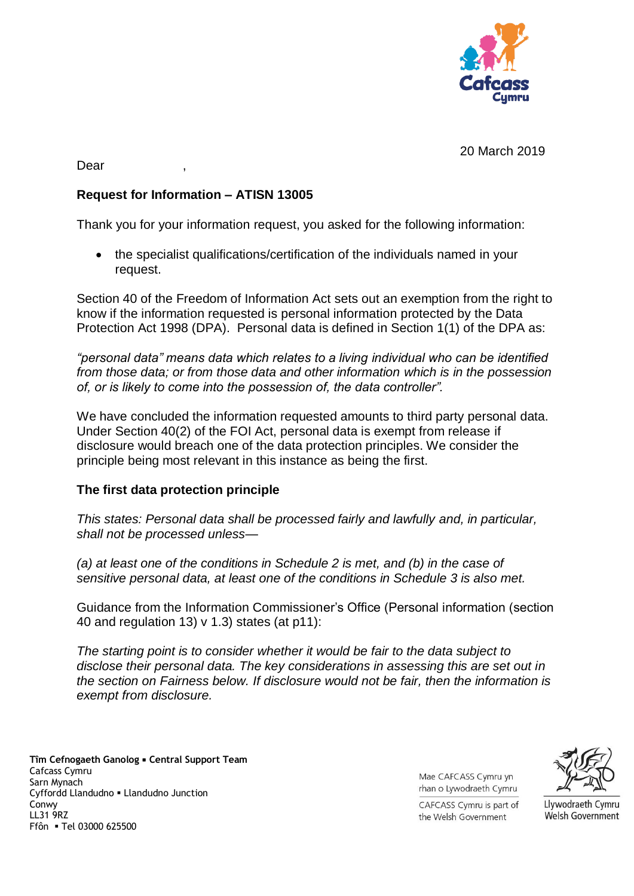

20 March 2019

Dear ,

## **Request for Information – ATISN 13005**

Thank you for your information request, you asked for the following information:

 the specialist qualifications/certification of the individuals named in your request.

Section 40 of the Freedom of Information Act sets out an exemption from the right to know if the information requested is personal information protected by the Data Protection Act 1998 (DPA). Personal data is defined in Section 1(1) of the DPA as:

*"personal data" means data which relates to a living individual who can be identified from those data; or from those data and other information which is in the possession of, or is likely to come into the possession of, the data controller".*

We have concluded the information requested amounts to third party personal data. Under Section 40(2) of the FOI Act, personal data is exempt from release if disclosure would breach one of the data protection principles. We consider the principle being most relevant in this instance as being the first.

## **The first data protection principle**

*This states: Personal data shall be processed fairly and lawfully and, in particular, shall not be processed unless—*

*(a) at least one of the conditions in Schedule 2 is met, and (b) in the case of sensitive personal data, at least one of the conditions in Schedule 3 is also met.*

Guidance from the Information Commissioner's Office (Personal information (section 40 and regulation 13) v 1.3) states (at p11):

*The starting point is to consider whether it would be fair to the data subject to disclose their personal data. The key considerations in assessing this are set out in the section on Fairness below. If disclosure would not be fair, then the information is exempt from disclosure.* 

**Tîm Cefnogaeth Ganolog Central Support Team**  Cafcass Cymru Sarn Mynach Cyffordd Llandudno Llandudno Junction Conwy LL31 9RZ Ffôn Tel 03000 625500

Mae CAFCASS Cymru yn rhan o Lywodraeth Cymru



Llywodraeth Cymru

Welsh Government

CAFCASS Cymru is part of the Welsh Government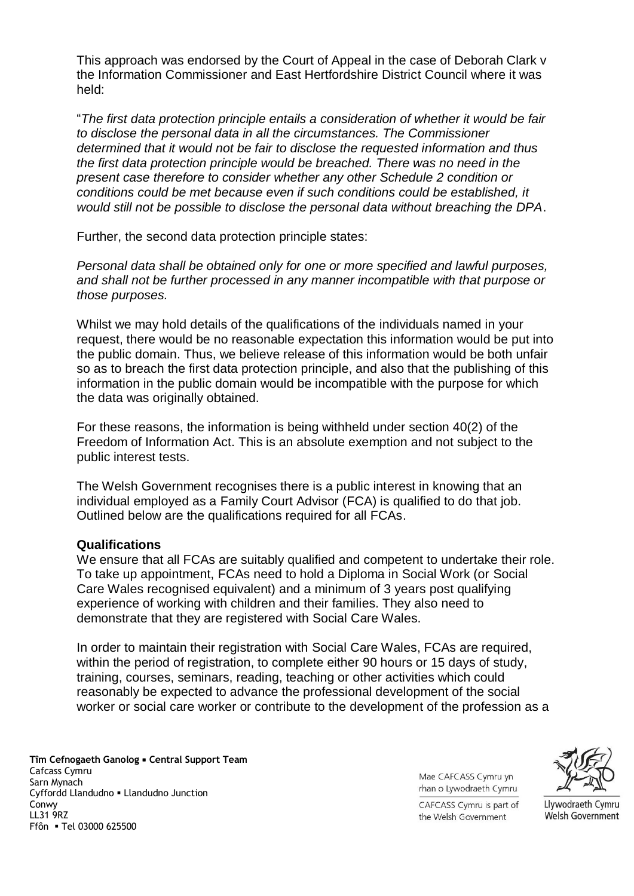This approach was endorsed by the Court of Appeal in the case of Deborah Clark v the Information Commissioner and East Hertfordshire District Council where it was held:

"*The first data protection principle entails a consideration of whether it would be fair to disclose the personal data in all the circumstances. The Commissioner determined that it would not be fair to disclose the requested information and thus the first data protection principle would be breached. There was no need in the present case therefore to consider whether any other Schedule 2 condition or conditions could be met because even if such conditions could be established, it would still not be possible to disclose the personal data without breaching the DPA*.

Further, the second data protection principle states:

*Personal data shall be obtained only for one or more specified and lawful purposes, and shall not be further processed in any manner incompatible with that purpose or those purposes.*

Whilst we may hold details of the qualifications of the individuals named in your request, there would be no reasonable expectation this information would be put into the public domain. Thus, we believe release of this information would be both unfair so as to breach the first data protection principle, and also that the publishing of this information in the public domain would be incompatible with the purpose for which the data was originally obtained.

For these reasons, the information is being withheld under section 40(2) of the Freedom of Information Act. This is an absolute exemption and not subject to the public interest tests.

The Welsh Government recognises there is a public interest in knowing that an individual employed as a Family Court Advisor (FCA) is qualified to do that job. Outlined below are the qualifications required for all FCAs.

## **Qualifications**

We ensure that all FCAs are suitably qualified and competent to undertake their role. To take up appointment, FCAs need to hold a Diploma in Social Work (or Social Care Wales recognised equivalent) and a minimum of 3 years post qualifying experience of working with children and their families. They also need to demonstrate that they are registered with Social Care Wales.

In order to maintain their registration with Social Care Wales, FCAs are required, within the period of registration, to complete either 90 hours or 15 days of study, training, courses, seminars, reading, teaching or other activities which could reasonably be expected to advance the professional development of the social worker or social care worker or contribute to the development of the profession as a

**Tîm Cefnogaeth Ganolog Central Support Team**  Cafcass Cymru Sarn Mynach Cyffordd Llandudno Llandudno Junction Conwy LL31 9RZ Ffôn Tel 03000 625500

Mae CAFCASS Cymru yn rhan o Lywodraeth Cymru



CAFCASS Cymru is part of the Welsh Government

Llywodraeth Cymru **Welsh Government**